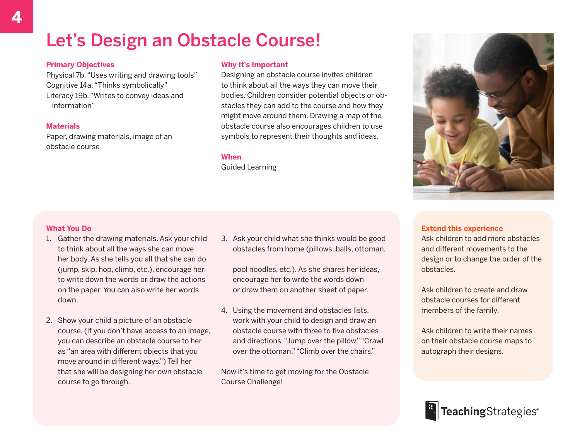# Let's Design an Obstacle Course!

## **Primary Objectives**

Physical 7b, "Uses writing and drawing tools" Cognitive 14a, "Thinks symbolically" Literacy 19b, "Writes to convey ideas and information"

### **Materials**

Paper, drawing materials, image of an obstacle course

### **Why It's Important**

Designing an obstacle course invites children to think about all the ways they can move their bodies. Children consider potential objects or obstacles they can add to the course and how they might move around them. Drawing a map of the obstacle course also encourages children to use symbols to represent their thoughts and ideas.

### **When**

Guided Learning



## **What You Do**

- 1. Gather the drawing materials. Ask your child to think about all the ways she can move her body. As she tells you all that she can do (jump, skip, hop, climb, etc.), encourage her to write down the words or draw the actions on the paper. You can also write her words down.
- 2. Show your child a picture of an obstacle course. (If you don't have access to an image, you can describe an obstacle course to her as "an area with different objects that you move around in different ways.") Tell her that she will be designing her own obstacle course to go through.

3. Ask your child what she thinks would be good obstacles from home (pillows, balls, ottoman,

pool noodles, etc.). As she shares her ideas, encourage her to write the words down or draw them on another sheet of paper.

4. Using the movement and obstacles lists, work with your child to design and draw an obstacle course with three to five obstacles and directions, "Jump over the pillow." "Crawl over the ottoman." "Climb over the chairs."

Now it's time to get moving for the Obstacle Course Challenge!

## **Extend this experience**

Ask children to add more obstacles and different movements to the design or to change the order of the obstacles.

Ask children to create and draw obstacle courses for different members of the family.

Ask children to write their names on their obstacle course maps to autograph their designs.